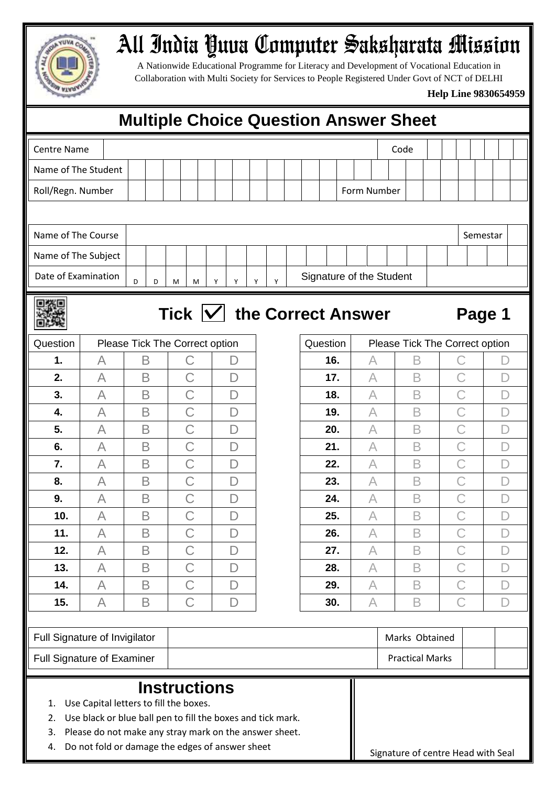

## All India Yuva Computer Saksharata Mission

A Nationwide Educational Programme for Literacy and Development of Vocational Education in Collaboration with Multi Society for Services to People Registered Under Govt of NCT of DELHI

## **Help Line 9830654959**

| <b>Multiple Choice Question Answer Sheet</b>                                                                                                                                                                                                                      |                               |   |   |   |                                |   |                |              |   |     |                          |        |                        |                                    |           |           |                     |   |                                |   |   |   |              |   |   |  |  |
|-------------------------------------------------------------------------------------------------------------------------------------------------------------------------------------------------------------------------------------------------------------------|-------------------------------|---|---|---|--------------------------------|---|----------------|--------------|---|-----|--------------------------|--------|------------------------|------------------------------------|-----------|-----------|---------------------|---|--------------------------------|---|---|---|--------------|---|---|--|--|
| <b>Centre Name</b>                                                                                                                                                                                                                                                |                               |   |   |   |                                |   |                |              |   |     |                          |        |                        |                                    | Code      |           |                     |   |                                |   |   |   |              |   |   |  |  |
| Name of The Student                                                                                                                                                                                                                                               |                               |   |   |   |                                |   |                |              |   |     |                          |        |                        |                                    |           |           |                     |   |                                |   |   |   |              |   |   |  |  |
| Roll/Regn. Number                                                                                                                                                                                                                                                 |                               |   |   |   |                                |   |                |              |   |     |                          |        |                        | Form Number                        |           |           |                     |   |                                |   |   |   |              |   |   |  |  |
|                                                                                                                                                                                                                                                                   |                               |   |   |   |                                |   |                |              |   |     |                          |        |                        |                                    |           |           |                     |   |                                |   |   |   |              |   |   |  |  |
| Name of The Course                                                                                                                                                                                                                                                |                               |   |   |   |                                |   |                |              |   |     |                          |        |                        | Semestar                           |           |           |                     |   |                                |   |   |   |              |   |   |  |  |
| Name of The Subject                                                                                                                                                                                                                                               |                               |   |   |   |                                |   |                |              |   |     |                          |        |                        |                                    |           |           |                     |   |                                |   |   |   |              |   |   |  |  |
| Date of Examination                                                                                                                                                                                                                                               | D                             | M | M |   | Υ                              | Υ | Υ              |              | Y |     | Signature of the Student |        |                        |                                    |           |           |                     |   |                                |   |   |   |              |   |   |  |  |
| Tick $ V $ the Correct Answer                                                                                                                                                                                                                                     |                               |   |   |   |                                |   |                |              |   |     |                          | Page 1 |                        |                                    |           |           |                     |   |                                |   |   |   |              |   |   |  |  |
| Question                                                                                                                                                                                                                                                          |                               |   |   |   | Please Tick The Correct option |   |                |              |   |     |                          |        | Question               |                                    |           |           |                     |   | Please Tick The Correct option |   |   |   |              |   |   |  |  |
| 1.                                                                                                                                                                                                                                                                | A                             | B |   |   | C                              |   |                | D            |   |     |                          |        |                        | 16.                                |           |           | $\forall$           |   | Β                              |   |   | С |              |   |   |  |  |
| 2.                                                                                                                                                                                                                                                                | A                             | B |   |   | C                              |   | D              |              |   |     |                          |        |                        | 17.                                |           | $\forall$ |                     |   | B                              |   | C |   |              |   |   |  |  |
| 3.                                                                                                                                                                                                                                                                | A                             | B |   |   | C                              |   | $\Box$         |              |   |     |                          |        |                        | 18.                                |           |           | $\overline{\wedge}$ |   | B                              |   |   | C |              |   |   |  |  |
| 4.                                                                                                                                                                                                                                                                | A                             | B |   |   | C                              |   | $\overline{D}$ |              |   |     |                          |        |                        | 19.                                |           | A         |                     |   | B                              |   |   |   |              |   |   |  |  |
| 5.                                                                                                                                                                                                                                                                | A                             | B |   | С |                                |   | D              |              |   |     |                          |        |                        | 20.                                | A         |           |                     |   | B                              |   | С |   |              |   |   |  |  |
| 6.                                                                                                                                                                                                                                                                | A                             | B |   | Ć |                                |   | D              |              |   |     |                          |        |                        | 21.                                | A         |           |                     |   | B                              |   |   |   |              |   |   |  |  |
| 7.                                                                                                                                                                                                                                                                | A                             | B |   | Ć |                                |   | D              |              |   |     |                          |        |                        | 22.                                |           |           | A                   |   | B                              |   |   |   |              |   |   |  |  |
| 8.                                                                                                                                                                                                                                                                | B<br>Α                        |   |   |   | C                              |   |                | D            |   |     |                          |        |                        | 23.                                |           |           | A                   |   | B                              |   |   |   |              |   |   |  |  |
| 9.                                                                                                                                                                                                                                                                | A                             | B |   |   | C                              |   |                | D            |   |     |                          |        |                        | 24.                                |           |           | A                   |   | B                              |   |   |   |              |   |   |  |  |
| 10.                                                                                                                                                                                                                                                               | A                             | B |   |   |                                |   |                | D            |   |     |                          |        |                        | 25.                                |           |           | A                   |   | B                              |   |   |   |              |   |   |  |  |
| 11.                                                                                                                                                                                                                                                               | A                             | B |   |   | $\mathsf C$                    |   |                | $\mathsf{D}$ |   |     |                          |        |                        | 26.                                |           |           | A                   |   | B                              |   | С |   |              | D |   |  |  |
| 12.                                                                                                                                                                                                                                                               | A                             | B |   |   | $\mathsf C$                    |   |                | $\mathsf{D}$ |   |     |                          |        |                        | 27.                                |           |           | $\forall$           |   | B                              |   |   | С |              |   | D |  |  |
| 13.                                                                                                                                                                                                                                                               | A                             | B |   |   | $\mathsf C$                    |   |                | $\mathsf{D}$ |   |     |                          |        | 28.                    |                                    |           |           | $\forall$           | B |                                |   | С |   |              |   | D |  |  |
| 14.                                                                                                                                                                                                                                                               | A                             | B |   |   | $\mathsf{C}$                   |   | $\mathsf{D}$   |              |   |     |                          |        |                        | 29.                                |           |           | $\forall$           | B |                                |   |   |   | $\mathcal C$ |   | D |  |  |
| 15.                                                                                                                                                                                                                                                               | B<br>A                        |   |   |   | $\mathsf{C}$<br>$\Box$         |   |                |              |   | 30. |                          |        |                        |                                    | $\forall$ |           | B                   |   |                                | С |   |   | D            |   |   |  |  |
|                                                                                                                                                                                                                                                                   | Full Signature of Invigilator |   |   |   |                                |   |                |              |   |     |                          |        |                        | Marks Obtained                     |           |           |                     |   |                                |   |   |   |              |   |   |  |  |
| <b>Full Signature of Examiner</b>                                                                                                                                                                                                                                 |                               |   |   |   |                                |   |                |              |   |     |                          |        | <b>Practical Marks</b> |                                    |           |           |                     |   |                                |   |   |   |              |   |   |  |  |
| <b>Instructions</b><br>Use Capital letters to fill the boxes.<br>1.<br>Use black or blue ball pen to fill the boxes and tick mark.<br>2.<br>Please do not make any stray mark on the answer sheet.<br>3.<br>Do not fold or damage the edges of answer sheet<br>4. |                               |   |   |   |                                |   |                |              |   |     |                          |        |                        | Signature of centre Head with Seal |           |           |                     |   |                                |   |   |   |              |   |   |  |  |